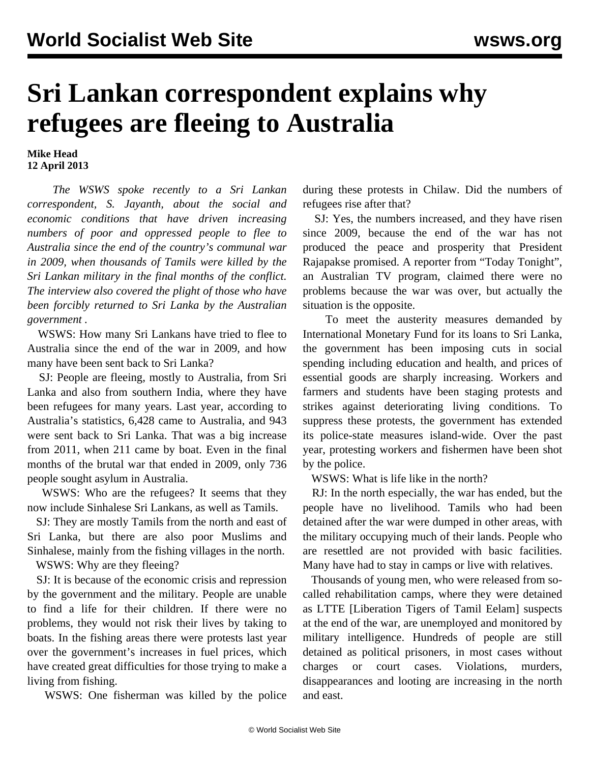## **Sri Lankan correspondent explains why refugees are fleeing to Australia**

**Mike Head 12 April 2013**

 *The WSWS spoke recently to a Sri Lankan correspondent, S. Jayanth, about the social and economic conditions that have driven increasing numbers of poor and oppressed people to flee to Australia since the end of the country's communal war in 2009, when thousands of Tamils were killed by the Sri Lankan military in the final months of the conflict. The interview also covered the plight of those who have been forcibly returned to Sri Lanka by the Australian government .*

 WSWS: How many Sri Lankans have tried to flee to Australia since the end of the war in 2009, and how many have been sent back to Sri Lanka?

 SJ: People are fleeing, mostly to Australia, from Sri Lanka and also from southern India, where they have been refugees for many years. Last year, according to Australia's statistics, 6,428 came to Australia, and 943 were sent back to Sri Lanka. That was a big increase from 2011, when 211 came by boat. Even in the final months of the brutal war that ended in 2009, only 736 people sought asylum in Australia.

 WSWS: Who are the refugees? It seems that they now include Sinhalese Sri Lankans, as well as Tamils.

 SJ: They are mostly Tamils from the north and east of Sri Lanka, but there are also poor Muslims and Sinhalese, mainly from the fishing villages in the north.

WSWS: Why are they fleeing?

 SJ: It is because of the economic crisis and repression by the government and the military. People are unable to find a life for their children. If there were no problems, they would not risk their lives by taking to boats. In the fishing areas there were protests last year over the government's increases in fuel prices, which have created great difficulties for those trying to make a living from fishing.

WSWS: One fisherman was killed by the police

during these protests in Chilaw. Did the numbers of refugees rise after that?

 SJ: Yes, the numbers increased, and they have risen since 2009, because the end of the war has not produced the peace and prosperity that President Rajapakse promised. A reporter from "Today Tonight", an Australian TV program, claimed there were no problems because the war was over, but actually the situation is the opposite.

 To meet the austerity measures demanded by International Monetary Fund for its loans to Sri Lanka, the government has been imposing cuts in social spending including education and health, and prices of essential goods are sharply increasing. Workers and farmers and students have been staging protests and strikes against deteriorating living conditions. To suppress these protests, the government has extended its police-state measures island-wide. Over the past year, protesting workers and fishermen have been shot by the police.

WSWS: What is life like in the north?

 RJ: In the north especially, the war has ended, but the people have no livelihood. Tamils who had been detained after the war were dumped in other areas, with the military occupying much of their lands. People who are resettled are not provided with basic facilities. Many have had to stay in camps or live with relatives.

 Thousands of young men, who were released from socalled rehabilitation camps, where they were detained as LTTE [Liberation Tigers of Tamil Eelam] suspects at the end of the war, are unemployed and monitored by military intelligence. Hundreds of people are still detained as political prisoners, in most cases without charges or court cases. Violations, murders, disappearances and looting are increasing in the north and east.